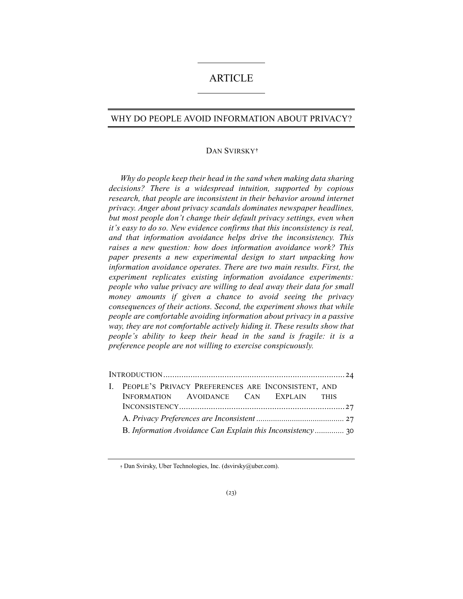# ARTICLE

# WHY DO PEOPLE AVOID INFORMATION ABOUT PRIVACY?

## DAN SVIRSKY**[†](#page-0-0)**

*Why do people keep their head in the sand when making data sharing decisions? There is a widespread intuition, supported by copious research, that people are inconsistent in their behavior around internet privacy. Anger about privacy scandals dominates newspaper headlines, but most people don't change their default privacy settings, even when it's easy to do so. New evidence confirms that this inconsistency is real, and that information avoidance helps drive the inconsistency. This raises a new question: how does information avoidance work? This paper presents a new experimental design to start unpacking how information avoidance operates. There are two main results. First, the experiment replicates existing information avoidance experiments: people who value privacy are willing to deal away their data for small money amounts if given a chance to avoid seeing the privacy consequences of their actions. Second, the experiment shows that while people are comfortable avoiding information about privacy in a passive way, they are not comfortable actively hiding it. These results show that people's ability to keep their head in the sand is fragile: it is a preference people are not willing to exercise conspicuously.*

|  | I. PEOPLE'S PRIVACY PREFERENCES ARE INCONSISTENT, AND |  |  |  |  |  |
|--|-------------------------------------------------------|--|--|--|--|--|
|  | INFORMATION AVOIDANCE CAN EXPLAIN THIS                |  |  |  |  |  |
|  |                                                       |  |  |  |  |  |
|  |                                                       |  |  |  |  |  |
|  |                                                       |  |  |  |  |  |

<span id="page-0-0"></span>**†** Dan Svirsky, Uber Technologies, Inc. (dsvirsky@uber.com).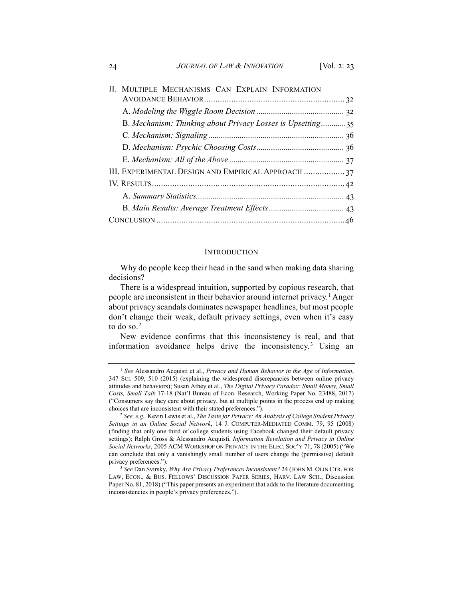| II. MULTIPLE MECHANISMS CAN EXPLAIN INFORMATION            |
|------------------------------------------------------------|
|                                                            |
|                                                            |
| B. Mechanism: Thinking about Privacy Losses is Upsetting35 |
|                                                            |
|                                                            |
|                                                            |
| III. EXPERIMENTAL DESIGN AND EMPIRICAL APPROACH  37        |
|                                                            |
|                                                            |
|                                                            |
|                                                            |

#### <span id="page-1-4"></span><span id="page-1-3"></span>**INTRODUCTION**

Why do people keep their head in the sand when making data sharing decisions?

There is a widespread intuition, supported by copious research, that people are inconsistent in their behavior around internet privacy.<sup>[1](#page-1-0)</sup> Anger about privacy scandals dominates newspaper headlines, but most people don't change their weak, default privacy settings, even when it's easy to do so.<sup>[2](#page-1-1)</sup>

New evidence confirms that this inconsistency is real, and that information avoidance helps drive the inconsistency.[3](#page-1-2) Using an

<span id="page-1-0"></span><sup>1</sup> *See* Alessandro Acquisti et al., *Privacy and Human Behavior in the Age of Information*, 347 SCI. 509, 510 (2015) (explaining the widespread discrepancies between online privacy attitudes and behaviors); Susan Athey et al., *The Digital Privacy Paradox: Small Money, Small Costs, Small Talk* 17-18 (Nat'l Bureau of Econ. Research, Working Paper No. 23488, 2017) ("Consumers say they care about privacy, but at multiple points in the process end up making choices that are inconsistent with their stated preferences.").

<span id="page-1-1"></span><sup>2</sup> *See, e.g.,* Kevin Lewis et al., *The Taste for Privacy: An Analysis of College Student Privacy Settings in an Online Social Network*, 14 J. COMPUTER-MEDIATED COMM. 79, 95 (2008) (finding that only one third of college students using Facebook changed their default privacy settings); Ralph Gross & Alessandro Acquisti, *Information Revelation and Privacy in Online Social Networks*, 2005 ACM WORKSHOP ON PRIVACY IN THE ELEC. SOC'Y 71, 78 (2005) ("We can conclude that only a vanishingly small number of users change the (permissive) default privacy preferences.").

<span id="page-1-2"></span><sup>3</sup> *See* Dan Svirsky, *Why Are Privacy Preferences Inconsistent?* 24 (JOHN M. OLIN CTR. FOR LAW, ECON., & BUS. FELLOWS' DISCUSSION PAPER SERIES, HARV. LAW SCH., Discussion Paper No. 81, 2018) ("This paper presents an experiment that adds to the literature documenting inconsistencies in people's privacy preferences.").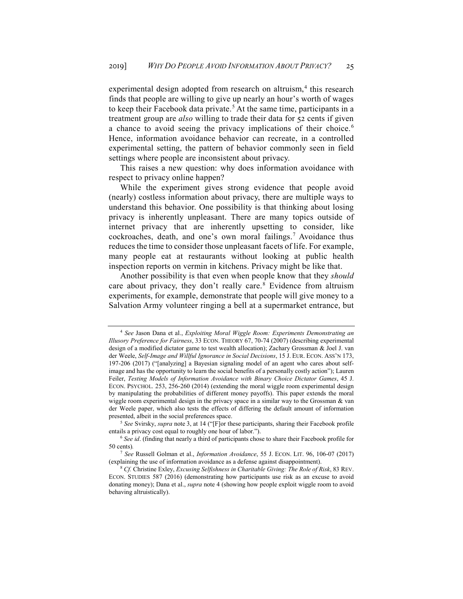<span id="page-2-0"></span>experimental design adopted from research on altruism,<sup>[4](#page-2-1)</sup> this research finds that people are willing to give up nearly an hour's worth of wages to keep their Facebook data private.<sup>[5](#page-2-2)</sup> At the same time, participants in a treatment group are *also* willing to trade their data for 52 cents if given a chance to avoid seeing the privacy implications of their choice.<sup>[6](#page-2-3)</sup> Hence, information avoidance behavior can recreate, in a controlled experimental setting, the pattern of behavior commonly seen in field settings where people are inconsistent about privacy.

This raises a new question: why does information avoidance with respect to privacy online happen?

While the experiment gives strong evidence that people avoid (nearly) costless information about privacy, there are multiple ways to understand this behavior. One possibility is that thinking about losing privacy is inherently unpleasant. There are many topics outside of internet privacy that are inherently upsetting to consider, like cockroaches, death, and one's own moral failings.[7](#page-2-4) Avoidance thus reduces the time to consider those unpleasant facets of life. For example, many people eat at restaurants without looking at public health inspection reports on vermin in kitchens. Privacy might be like that.

<span id="page-2-6"></span>Another possibility is that even when people know that they *should* care about privacy, they don't really care.<sup>[8](#page-2-5)</sup> Evidence from altruism experiments, for example, demonstrate that people will give money to a Salvation Army volunteer ringing a bell at a supermarket entrance, but

<span id="page-2-1"></span><sup>4</sup> *See* Jason Dana et al., *Exploiting Moral Wiggle Room: Experiments Demonstrating an Illusory Preference for Fairness*, 33 ECON. THEORY 67, 70-74 (2007) (describing experimental design of a modified dictator game to test wealth allocation); Zachary Grossman & Joel J. van der Weele, *Self-Image and Willful Ignorance in Social Decisions*, 15 J. EUR. ECON. ASS'N 173, 197-206 (2017) ("[analyzing] a Bayesian signaling model of an agent who cares about selfimage and has the opportunity to learn the social benefits of a personally costly action"); Lauren Feiler, *Testing Models of Information Avoidance with Binary Choice Dictator Games*, 45 J. ECON. PSYCHOL. 253, 256-260 (2014) (extending the moral wiggle room experimental design by manipulating the probabilities of different money payoffs). This paper extends the moral wiggle room experimental design in the privacy space in a similar way to the Grossman & van der Weele paper, which also tests the effects of differing the default amount of information presented, albeit in the social preferences space.

<span id="page-2-2"></span><sup>5</sup> *See* Svirsky, *supra* note [3,](#page-1-3) at 14 ("[F]or these participants, sharing their Facebook profile entails a privacy cost equal to roughly one hour of labor.").

<span id="page-2-3"></span><sup>6</sup> *See id*. (finding that nearly a third of participants chose to share their Facebook profile for 50 cents)*.*

<span id="page-2-4"></span><sup>7</sup> *See* Russell Golman et al., *Information Avoidance*, 55 J. ECON. LIT. 96, 106-07 (2017) (explaining the use of information avoidance as a defense against disappointment).

<span id="page-2-5"></span><sup>8</sup> *Cf.* Christine Exley, *Excusing Selfishness in Charitable Giving: The Role of Risk*, 83 REV. ECON. STUDIES 587 (2016) (demonstrating how participants use risk as an excuse to avoid donating money); Dana et al., *supra* not[e 4](#page-2-0) (showing how people exploit wiggle room to avoid behaving altruistically).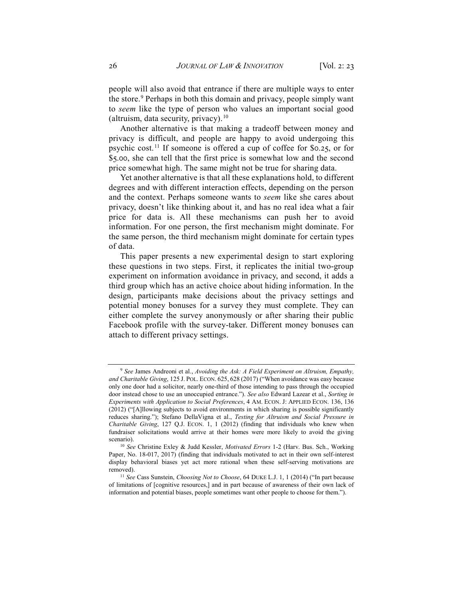people will also avoid that entrance if there are multiple ways to enter the store.<sup>[9](#page-3-0)</sup> Perhaps in both this domain and privacy, people simply want to *seem* like the type of person who values an important social good (altruism, data security, privacy).  $10$ 

Another alternative is that making a tradeoff between money and privacy is difficult, and people are happy to avoid undergoing this psychic cost.<sup>[11](#page-3-2)</sup> If someone is offered a cup of coffee for \$0.25, or for \$5.00, she can tell that the first price is somewhat low and the second price somewhat high. The same might not be true for sharing data.

Yet another alternative is that all these explanations hold, to different degrees and with different interaction effects, depending on the person and the context. Perhaps someone wants to *seem* like she cares about privacy, doesn't like thinking about it, and has no real idea what a fair price for data is. All these mechanisms can push her to avoid information. For one person, the first mechanism might dominate. For the same person, the third mechanism might dominate for certain types of data.

This paper presents a new experimental design to start exploring these questions in two steps. First, it replicates the initial two-group experiment on information avoidance in privacy, and second, it adds a third group which has an active choice about hiding information. In the design, participants make decisions about the privacy settings and potential money bonuses for a survey they must complete. They can either complete the survey anonymously or after sharing their public Facebook profile with the survey-taker. Different money bonuses can attach to different privacy settings.

<span id="page-3-0"></span><sup>9</sup> *See* James Andreoni et al., *Avoiding the Ask: A Field Experiment on Altruism, Empathy, and Charitable Giving*, 125 J. POL. ECON. 625, 628 (2017) ("When avoidance was easy because only one door had a solicitor, nearly one-third of those intending to pass through the occupied door instead chose to use an unoccupied entrance."). *See also* Edward Lazear et al., *Sorting in Experiments with Application to Social Preferences*, 4 AM. ECON. J: APPLIED ECON. 136, 136 (2012) ("[A]llowing subjects to avoid environments in which sharing is possible significantly reduces sharing."); Stefano DellaVigna et al., *Testing for Altruism and Social Pressure in Charitable Giving*, 127 Q.J. ECON. 1, 1 (2012) (finding that individuals who knew when fundraiser solicitations would arrive at their homes were more likely to avoid the giving scenario).

<span id="page-3-1"></span><sup>10</sup> *See* Christine Exley & Judd Kessler, *Motivated Errors* 1-2 (Harv. Bus. Sch., Working Paper, No. 18-017, 2017) (finding that individuals motivated to act in their own self-interest display behavioral biases yet act more rational when these self-serving motivations are removed).

<span id="page-3-2"></span><sup>11</sup> *See* Cass Sunstein, *Choosing Not to Choose*, 64 DUKE L.J. 1, 1 (2014) ("In part because of limitations of [cognitive resources,] and in part because of awareness of their own lack of information and potential biases, people sometimes want other people to choose for them.").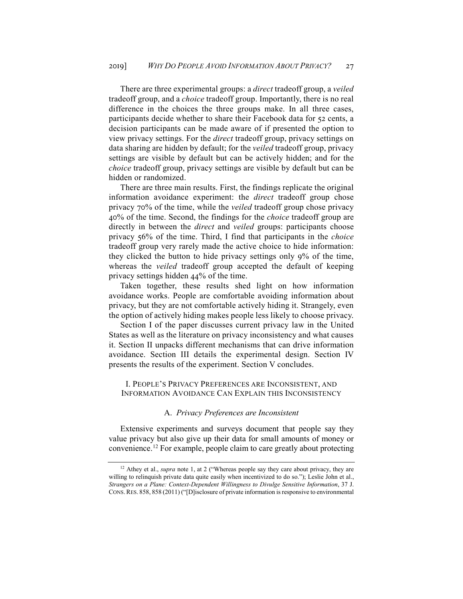There are three experimental groups: a *direct* tradeoff group, a *veiled*  tradeoff group, and a *choice* tradeoff group. Importantly, there is no real difference in the choices the three groups make. In all three cases, participants decide whether to share their Facebook data for 52 cents, a decision participants can be made aware of if presented the option to view privacy settings. For the *direct* tradeoff group, privacy settings on data sharing are hidden by default; for the *veiled* tradeoff group, privacy settings are visible by default but can be actively hidden; and for the *choice* tradeoff group, privacy settings are visible by default but can be hidden or randomized.

There are three main results. First, the findings replicate the original information avoidance experiment: the *direct* tradeoff group chose privacy 70% of the time, while the *veiled* tradeoff group chose privacy 40% of the time. Second, the findings for the *choice* tradeoff group are directly in between the *direct* and *veiled* groups: participants choose privacy 56% of the time. Third, I find that participants in the *choice* tradeoff group very rarely made the active choice to hide information: they clicked the button to hide privacy settings only 9% of the time, whereas the *veiled* tradeoff group accepted the default of keeping privacy settings hidden 44% of the time.

Taken together, these results shed light on how information avoidance works. People are comfortable avoiding information about privacy, but they are not comfortable actively hiding it. Strangely, even the option of actively hiding makes people less likely to choose privacy.

Section I of the paper discusses current privacy law in the United States as well as the literature on privacy inconsistency and what causes it. Section II unpacks different mechanisms that can drive information avoidance. Section III details the experimental design. Section IV presents the results of the experiment. Section V concludes.

## I. PEOPLE'S PRIVACY PREFERENCES ARE INCONSISTENT, AND INFORMATION AVOIDANCE CAN EXPLAIN THIS INCONSISTENCY

#### <span id="page-4-1"></span>A. *Privacy Preferences are Inconsistent*

Extensive experiments and surveys document that people say they value privacy but also give up their data for small amounts of money or convenience.[12](#page-4-0) For example, people claim to care greatly about protecting

<span id="page-4-0"></span><sup>&</sup>lt;sup>12</sup> Athey et al., *supra* not[e 1,](#page-1-4) at 2 ("Whereas people say they care about privacy, they are willing to relinquish private data quite easily when incentivized to do so."); Leslie John et al., *Strangers on a Plane: Context-Dependent Willingness to Divulge Sensitive Information*, 37 J. CONS.RES. 858, 858 (2011) ("[D]isclosure of private information is responsive to environmental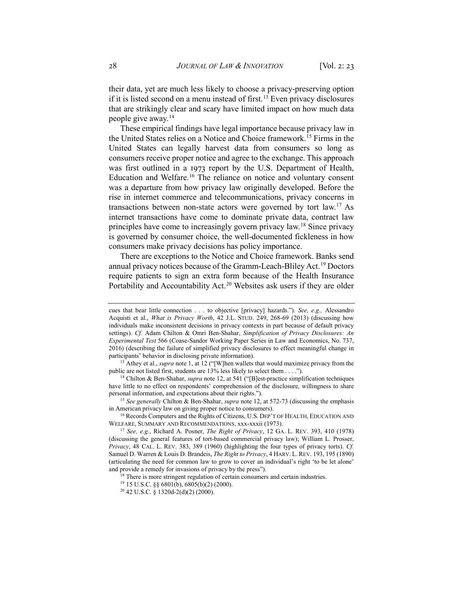their data, yet are much less likely to choose a privacy-preserving option if it is listed second on a menu instead of first.<sup>[13](#page-5-0)</sup> Even privacy disclosures that are strikingly clear and scary have limited impact on how much data people give away. $14$ 

These empirical findings have legal importance because privacy law in the United States relies on a Notice and Choice framework.[15](#page-5-2) Firms in the United States can legally harvest data from consumers so long as consumers receive proper notice and agree to the exchange. This approach was first outlined in a 1973 report by the U.S. Department of Health, Education and Welfare.<sup>[16](#page-5-3)</sup> The reliance on notice and voluntary consent was a departure from how privacy law originally developed. Before the rise in internet commerce and telecommunications, privacy concerns in transactions between non-state actors were governed by tort law.[17](#page-5-4) As internet transactions have come to dominate private data, contract law principles have come to increasingly govern privacy law.<sup>[18](#page-5-5)</sup> Since privacy is governed by consumer choice, the well-documented fickleness in how consumers make privacy decisions has policy importance.

<span id="page-5-8"></span>There are exceptions to the Notice and Choice framework. Banks send annual privacy notices because of the Gramm-Leach-Bliley Act.[19](#page-5-6) Doctors require patients to sign an extra form because of the Health Insurance Portability and Accountability Act.<sup>20</sup> Websites ask users if they are older

<span id="page-5-1"></span><sup>14</sup> Chilton & Ben-Shahar, *supra* not[e 12](#page-4-1), at 541 ("[B]est-practice simplification techniques have little to no effect on respondents' comprehension of the disclosure, willingness to share personal information, and expectations about their rights.").

cues that bear little connection . . . to objective [privacy] hazards."). *See, e.g.,* Alessandro Acquisti et al., *What is Privacy Worth*, 42 J.L. STUD. 249, 268-69 (2013) (discussing how individuals make inconsistent decisions in privacy contexts in part because of default privacy settings). *Cf.* Adam Chilton & Omri Ben-Shahar, *Simplification of Privacy Disclosures: An Experimental Test* 566 (Coase-Sandor Working Paper Series in Law and Economics, No. 737, 2016) (describing the failure of simplified privacy disclosures to effect meaningful change in participants' behavior in disclosing private information).

<span id="page-5-0"></span><sup>13</sup> Athey et al., *supra* note 1, at 12 ("[W]hen wallets that would maximize privacy from the public are not listed first, students are 13% less likely to select them . . . .").

<span id="page-5-2"></span><sup>15</sup> *See generally* Chilton & Ben-Shahar, *supra* not[e 12,](#page-4-1) at 572-73 (discussing the emphasis in American privacy law on giving proper notice to consumers).

<span id="page-5-3"></span><sup>&</sup>lt;sup>16</sup> Records Computers and the Rights of Citizens, U.S. DEP'T OF HEALTH, EDUCATION AND WELFARE, SUMMARY AND RECOMMENDATIONS, xxx-xxxii (1973).

<span id="page-5-5"></span><span id="page-5-4"></span><sup>&</sup>lt;sup>17</sup> See, e.g., Richard A. Posner, *The Right of Privacy*, 12 GA. L. REV. 393, 410 (1978) (discussing the general features of tort-based commercial privacy law); William L. Prosser, *Privacy*, 48 CAL. L. REV. 383, 389 (1960) (highlighting the four types of privacy torts). *Cf.*  Samuel D. Warren & Louis D. Brandeis, *The Right to Privacy*, 4 HARV. L. REV. 193, 195 (1890) (articulating the need for common law to grow to cover an individual's right 'to be let alone' and provide a remedy for invasions of privacy by the press").

<sup>&</sup>lt;sup>18</sup> There is more stringent regulation of certain consumers and certain industries.<br><sup>19</sup> 15 U.S.C. §§ 6801(b), 6805(b)(2) (2000).<br><sup>20</sup> 42 U.S.C. § 1320d-2(d)(2) (2000).

<span id="page-5-7"></span><span id="page-5-6"></span>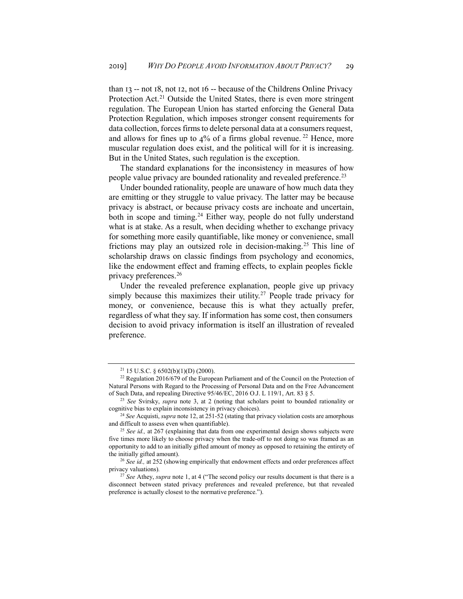than 13 -- not 18, not 12, not 16 -- because of the Childrens Online Privacy Protection Act.<sup>[21](#page-6-0)</sup> Outside the United States, there is even more stringent regulation. The European Union has started enforcing the General Data Protection Regulation, which imposes stronger consent requirements for data collection, forces firms to delete personal data at a consumers request, and allows for fines up to 4% of a firms global revenue.<sup>[22](#page-6-1)</sup> Hence, more muscular regulation does exist, and the political will for it is increasing. But in the United States, such regulation is the exception.

The standard explanations for the inconsistency in measures of how people value privacy are bounded rationality and revealed preference.<sup>23</sup>

Under bounded rationality, people are unaware of how much data they are emitting or they struggle to value privacy. The latter may be because privacy is abstract, or because privacy costs are inchoate and uncertain, both in scope and timing.<sup>24</sup> Either way, people do not fully understand what is at stake. As a result, when deciding whether to exchange privacy for something more easily quantifiable, like money or convenience, small frictions may play an outsized role in decision-making.[25](#page-6-4) This line of scholarship draws on classic findings from psychology and economics, like the endowment effect and framing effects, to explain peoples fickle privacy preferences.[26](#page-6-5) 

Under the revealed preference explanation, people give up privacy simply because this maximizes their utility.<sup>[27](#page-6-6)</sup> People trade privacy for money, or convenience, because this is what they actually prefer, regardless of what they say. If information has some cost, then consumers decision to avoid privacy information is itself an illustration of revealed preference.

<sup>21</sup> 15 U.S.C. § 6502(b)(1)(D) (2000).

<span id="page-6-1"></span><span id="page-6-0"></span><sup>&</sup>lt;sup>22</sup> Regulation 2016/679 of the European Parliament and of the Council on the Protection of Natural Persons with Regard to the Processing of Personal Data and on the Free Advancement of Such Data, and repealing Directive 95/46/EC, 2016 O.J. L 119/1, Art. 83 § 5.

<span id="page-6-2"></span><sup>23</sup> *See* Svirsky, *supra* note [3,](#page-1-3) at 2 (noting that scholars point to bounded rationality or cognitive bias to explain inconsistency in privacy choices).

<span id="page-6-3"></span><sup>24</sup> *See* Acquisti, *supra* not[e 12,](#page-4-1) at 251-52 (stating that privacy violation costs are amorphous and difficult to assess even when quantifiable).

<span id="page-6-4"></span><sup>&</sup>lt;sup>25</sup> *See id.,* at 267 (explaining that data from one experimental design shows subjects were five times more likely to choose privacy when the trade-off to not doing so was framed as an opportunity to add to an initially gifted amount of money as opposed to retaining the entirety of the initially gifted amount). 26 *See id.,* at 252 (showing empirically that endowment effects and order preferences affect

<span id="page-6-5"></span>privacy valuations)*.*

<span id="page-6-6"></span><sup>&</sup>lt;sup>27</sup> See Athey, *supra* note [1,](#page-1-4) at 4 ("The second policy our results document is that there is a disconnect between stated privacy preferences and revealed preference, but that revealed preference is actually closest to the normative preference.").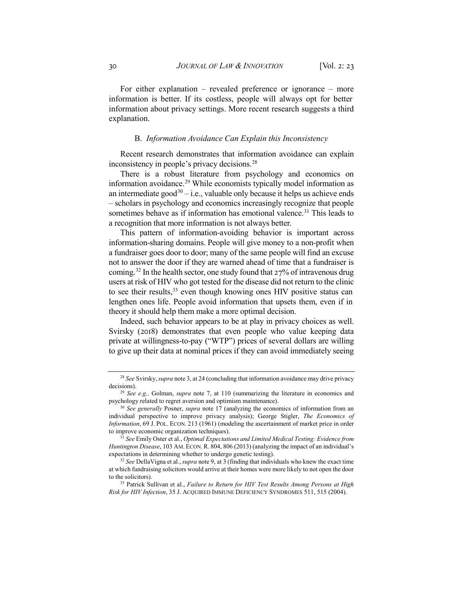For either explanation – revealed preference or ignorance – more information is better. If its costless, people will always opt for better information about privacy settings. More recent research suggests a third explanation.

# B. *Information Avoidance Can Explain this Inconsistency*

Recent research demonstrates that information avoidance can explain inconsistency in people's privacy decisions.<sup>28</sup>

There is a robust literature from psychology and economics on information avoidance.[29](#page-7-1) While economists typically model information as an intermediate good<sup>[30](#page-7-2)</sup> – i.e., valuable only because it helps us achieve ends – scholars in psychology and economics increasingly recognize that people sometimes behave as if information has emotional valence.<sup>[31](#page-7-3)</sup> This leads to a recognition that more information is not always better.

This pattern of information-avoiding behavior is important across information-sharing domains. People will give money to a non-profit when a fundraiser goes door to door; many of the same people will find an excuse not to answer the door if they are warned ahead of time that a fundraiser is coming.[32](#page-7-4) In the health sector, one study found that 27% of intravenous drug users at risk of HIV who got tested for the disease did not return to the clinic to see their results,<sup>33</sup> even though knowing ones HIV positive status can lengthen ones life. People avoid information that upsets them, even if in theory it should help them make a more optimal decision.

Indeed, such behavior appears to be at play in privacy choices as well. Svirsky (2018) demonstrates that even people who value keeping data private at willingness-to-pay ("WTP") prices of several dollars are willing to give up their data at nominal prices if they can avoid immediately seeing

<span id="page-7-0"></span><sup>28</sup> *See* Svirsky, *supra* not[e 3,](#page-1-3) at 24 (concluding that information avoidance may drive privacy decisions).

<span id="page-7-1"></span><sup>29</sup> *See e.g.,* Golman, *supra* note [7,](#page-2-6) at 110 (summarizing the literature in economics and psychology related to regret aversion and optimism maintenance).

<span id="page-7-2"></span><sup>30</sup> *See generally* Posner, *supra* note [17](#page-5-8) (analyzing the economics of information from an individual perspective to improve privacy analysis); George Stigler, *The Economics of Information*, 69 J. POL. ECON. 213 (1961) (modeling the ascertainment of market price in order to improve economic organization techniques).

<span id="page-7-3"></span><sup>31</sup> *See* Emily Oster et al., *Optimal Expectations and Limited Medical Testing: Evidence from Huntington Disease*, 103 AM. ECON. R. 804, 806 (2013) (analyzing the impact of an individual's expectations in determining whether to undergo genetic testing).

<span id="page-7-4"></span><sup>32</sup> *See* DellaVigna et al., *supra* note 9, at 3 (finding that individuals who knew the exact time at which fundraising solicitors would arrive at their homes were more likely to not open the door to the solicitors).

<span id="page-7-5"></span><sup>33</sup> Patrick Sullivan et al., *Failure to Return for HIV Test Results Among Persons at High Risk for HIV Infection*, 35 J. ACQUIRED IMMUNE DEFICIENCY SYNDROMES 511, 515 (2004).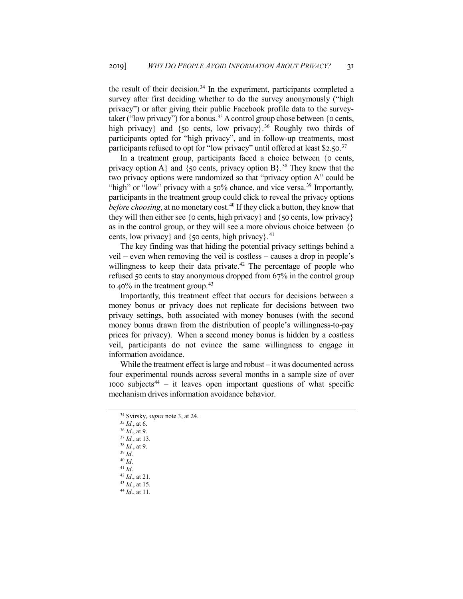the result of their decision.<sup>34</sup> In the experiment, participants completed a survey after first deciding whether to do the survey anonymously ("high privacy") or after giving their public Facebook profile data to the survey-taker ("low privacy") for a bonus.<sup>[35](#page-8-1)</sup> A control group chose between  $\{o \text{ cents}, \}$ high privacy} and {50 cents, low privacy}.<sup>[36](#page-8-2)</sup> Roughly two thirds of participants opted for "high privacy", and in follow-up treatments, most participants refused to opt for "low privacy" until offered at least \$2.50.<sup>[37](#page-8-3)</sup>

In a treatment group, participants faced a choice between {0 cents, privacy option A} and {50 cents, privacy option B}.<sup>[38](#page-8-4)</sup> They knew that the two privacy options were randomized so that "privacy option A" could be "high" or "low" privacy with a 50% chance, and vice versa.<sup>[39](#page-8-5)</sup> Importantly, participants in the treatment group could click to reveal the privacy options *before choosing*, at no monetary cost.<sup>40</sup> If they click a button, they know that they will then either see  ${o \text{ cents}, \text{high privacy}}$  and  ${o \text{ cents}, \text{low privacy}}$ as in the control group, or they will see a more obvious choice between {0 cents, low privacy} and {50 cents, high privacy}.<sup>[41](#page-8-7)</sup>

The key finding was that hiding the potential privacy settings behind a veil – even when removing the veil is costless – causes a drop in people's willingness to keep their data private.<sup>[42](#page-8-8)</sup> The percentage of people who refused 50 cents to stay anonymous dropped from 67% in the control group to 40% in the treatment group.<sup>[43](#page-8-9)</sup>

Importantly, this treatment effect that occurs for decisions between a money bonus or privacy does not replicate for decisions between two privacy settings, both associated with money bonuses (with the second money bonus drawn from the distribution of people's willingness-to-pay prices for privacy). When a second money bonus is hidden by a costless veil, participants do not evince the same willingness to engage in information avoidance.

While the treatment effect is large and robust – it was documented across four experimental rounds across several months in a sample size of over 1000 subjects<sup>[44](#page-8-10)</sup> – it leaves open important questions of what specific mechanism drives information avoidance behavior.

- $35$  *Id.*, at 6.
- <span id="page-8-2"></span><span id="page-8-1"></span><sup>36</sup> *Id*., at 9.
- <sup>37</sup> *Id.*, at 13. <sup>38</sup> *Id.*, at 9.
- <span id="page-8-4"></span><span id="page-8-3"></span><sup>39</sup> *Id*.
- <sup>40</sup> *Id*.
- <span id="page-8-8"></span><span id="page-8-7"></span><span id="page-8-6"></span><span id="page-8-5"></span><sup>41</sup> *Id*.
- <sup>42</sup> *Id*., at 21.
- <sup>43</sup> *Id.*, at 15.
- <span id="page-8-10"></span><span id="page-8-9"></span><sup>44</sup> *Id*., at 11.

<span id="page-8-0"></span><sup>34</sup> Svirsky, *supra* not[e 3,](#page-1-3) at 24.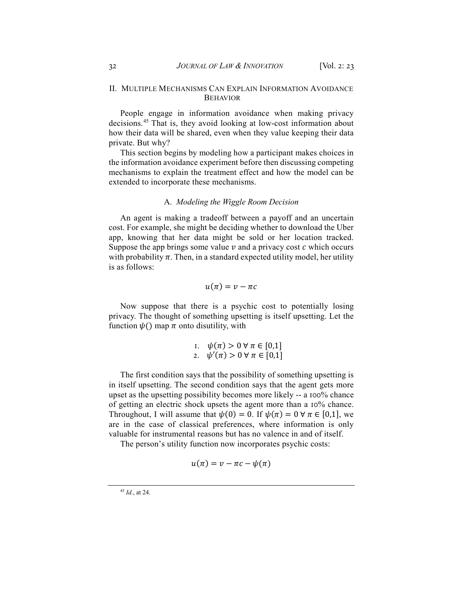# II. MULTIPLE MECHANISMS CAN EXPLAIN INFORMATION AVOIDANCE BEHAVIOR

People engage in information avoidance when making privacy decisions.[45](#page-9-0) That is, they avoid looking at low-cost information about how their data will be shared, even when they value keeping their data private. But why?

This section begins by modeling how a participant makes choices in the information avoidance experiment before then discussing competing mechanisms to explain the treatment effect and how the model can be extended to incorporate these mechanisms.

# A. *Modeling the Wiggle Room Decision*

An agent is making a tradeoff between a payoff and an uncertain cost. For example, she might be deciding whether to download the Uber app, knowing that her data might be sold or her location tracked. Suppose the app brings some value  $\nu$  and a privacy cost  $c$  which occurs with probability  $\pi$ . Then, in a standard expected utility model, her utility is as follows:

$$
u(\pi)=v-\pi c
$$

Now suppose that there is a psychic cost to potentially losing privacy. The thought of something upsetting is itself upsetting. Let the function  $\psi()$  map  $\pi$  onto disutility, with

I. 
$$
\psi(\pi) > 0 \,\forall \,\pi \in [0,1]
$$
  
2.  $\psi'(\pi) > 0 \,\forall \,\pi \in [0,1]$ 

The first condition says that the possibility of something upsetting is in itself upsetting. The second condition says that the agent gets more upset as the upsetting possibility becomes more likely -- a 100% chance of getting an electric shock upsets the agent more than a 10% chance. Throughout, I will assume that  $\psi(0) = 0$ . If  $\psi(\pi) = 0 \,\forall \pi \in [0,1]$ , we are in the case of classical preferences, where information is only valuable for instrumental reasons but has no valence in and of itself.

The person's utility function now incorporates psychic costs:

$$
u(\pi) = v - \pi c - \psi(\pi)
$$

<span id="page-9-0"></span><sup>45</sup> *Id.*, at 24.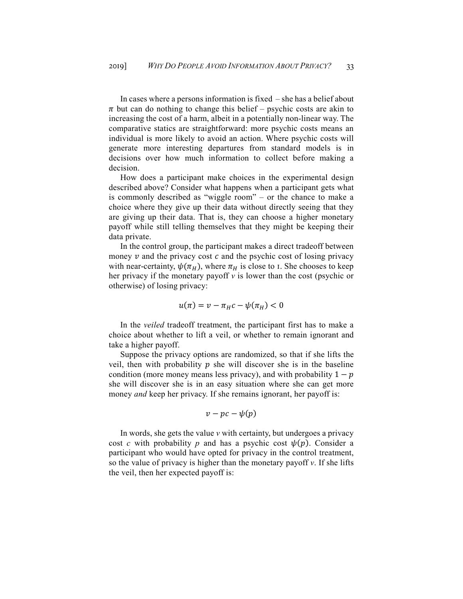In cases where a persons information is fixed – she has a belief about  $\pi$  but can do nothing to change this belief – psychic costs are akin to increasing the cost of a harm, albeit in a potentially non-linear way. The comparative statics are straightforward: more psychic costs means an individual is more likely to avoid an action. Where psychic costs will generate more interesting departures from standard models is in decisions over how much information to collect before making a decision.

How does a participant make choices in the experimental design described above? Consider what happens when a participant gets what is commonly described as "wiggle room" – or the chance to make a choice where they give up their data without directly seeing that they are giving up their data. That is, they can choose a higher monetary payoff while still telling themselves that they might be keeping their data private.

In the control group, the participant makes a direct tradeoff between money  $\nu$  and the privacy cost  $c$  and the psychic cost of losing privacy with near-certainty,  $\psi(\pi_H)$ , where  $\pi_H$  is close to 1. She chooses to keep her privacy if the monetary payoff *v* is lower than the cost (psychic or otherwise) of losing privacy:

$$
u(\pi) = v - \pi_H c - \psi(\pi_H) < 0
$$

In the *veiled* tradeoff treatment, the participant first has to make a choice about whether to lift a veil, or whether to remain ignorant and take a higher payoff.

Suppose the privacy options are randomized, so that if she lifts the veil, then with probability  $p$  she will discover she is in the baseline condition (more money means less privacy), and with probability  $1 - p$ she will discover she is in an easy situation where she can get more money *and* keep her privacy. If she remains ignorant, her payoff is:

$$
v - pc - \psi(p)
$$

In words, she gets the value *v* with certainty, but undergoes a privacy cost *c* with probability *p* and has a psychic cost  $\psi(p)$ . Consider a participant who would have opted for privacy in the control treatment, so the value of privacy is higher than the monetary payoff *v*. If she lifts the veil, then her expected payoff is: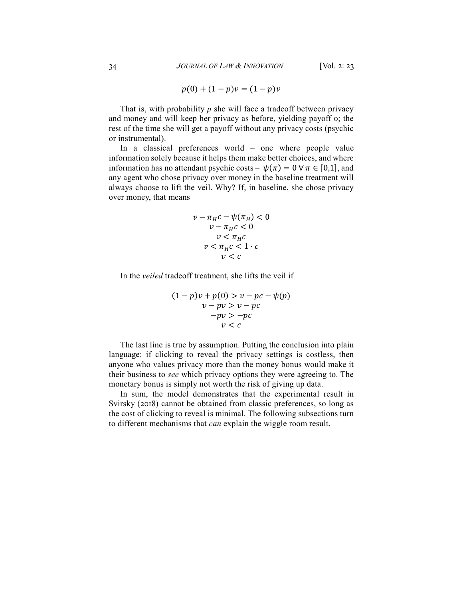$$
p(0) + (1 - p)v = (1 - p)v
$$

That is, with probability *p* she will face a tradeoff between privacy and money and will keep her privacy as before, yielding payoff 0; the rest of the time she will get a payoff without any privacy costs (psychic or instrumental).

In a classical preferences world – one where people value information solely because it helps them make better choices, and where information has no attendant psychic costs –  $\psi(\pi) = 0 \,\forall \pi \in [0,1]$ , and any agent who chose privacy over money in the baseline treatment will always choose to lift the veil. Why? If, in baseline, she chose privacy over money, that means

$$
v - \pi_{H}c - \psi(\pi_{H}) < 0
$$
\n
$$
v - \pi_{H}c < 0
$$
\n
$$
v < \pi_{H}c
$$
\n
$$
v < \pi_{H}c < 1 \cdot c
$$
\n
$$
v < c
$$

In the *veiled* tradeoff treatment, she lifts the veil if

$$
(1-p)v + p(0) > v - pc - \psi(p)
$$
  
\n
$$
v - pv > v - pc
$$
  
\n
$$
-pv > -pc
$$
  
\n
$$
v < c
$$

The last line is true by assumption. Putting the conclusion into plain language: if clicking to reveal the privacy settings is costless, then anyone who values privacy more than the money bonus would make it their business to *see* which privacy options they were agreeing to. The monetary bonus is simply not worth the risk of giving up data.

In sum, the model demonstrates that the experimental result in Svirsky (2018) cannot be obtained from classic preferences, so long as the cost of clicking to reveal is minimal. The following subsections turn to different mechanisms that *can* explain the wiggle room result.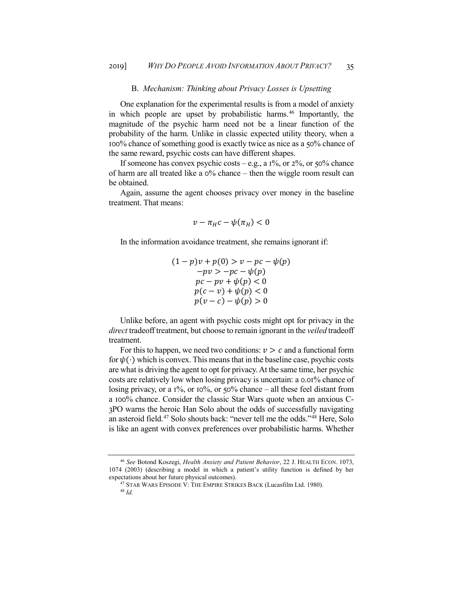## B. *Mechanism: Thinking about Privacy Losses is Upsetting*

One explanation for the experimental results is from a model of anxiety in which people are upset by probabilistic harms.<sup>[46](#page-12-0)</sup> Importantly, the magnitude of the psychic harm need not be a linear function of the probability of the harm. Unlike in classic expected utility theory, when a 100% chance of something good is exactly twice as nice as a 50% chance of the same reward, psychic costs can have different shapes.

If someone has convex psychic costs – e.g., a  $1\%$ , or  $2\%$ , or  $50\%$  chance of harm are all treated like a  $0\%$  chance – then the wiggle room result can be obtained.

Again, assume the agent chooses privacy over money in the baseline treatment. That means:

$$
v - \pi_H c - \psi(\pi_H) < 0
$$

In the information avoidance treatment, she remains ignorant if:

 $(1 - p)v + p(0) > v - pc - \psi(p)$  $-pv > -pc - \psi(p)$  $pc - pv + \psi(p) < 0$  $p(c - v) + \psi(p) < 0$  $p(v - c) - \psi(p) > 0$ 

Unlike before, an agent with psychic costs might opt for privacy in the *direct* tradeoff treatment, but choose to remain ignorant in the *veiled* tradeoff treatment.

For this to happen, we need two conditions:  $v > c$  and a functional form for  $\psi(\cdot)$  which is convex. This means that in the baseline case, psychic costs are what is driving the agent to opt for privacy. At the same time, her psychic costs are relatively low when losing privacy is uncertain: a 0.01% chance of losing privacy, or a 1%, or 10%, or 50% chance – all these feel distant from a 100% chance. Consider the classic Star Wars quote when an anxious C-3PO warns the heroic Han Solo about the odds of successfully navigating an asteroid field[.47](#page-12-1) Solo shouts back: "never tell me the odds."[48](#page-12-2) Here, Solo is like an agent with convex preferences over probabilistic harms. Whether

<span id="page-12-2"></span><span id="page-12-1"></span><span id="page-12-0"></span><sup>46</sup> *See* Botond Koszegi, *Health Anxiety and Patient Behavior*, 22 J. HEALTH ECON. 1073, 1074 (2003) (describing a model in which a patient's utility function is defined by her expectations about her future physical outcomes).

<sup>&</sup>lt;sup>47</sup> STAR WARS EPISODE V: THE EMPIRE STRIKES BACK (Lucasfilm Ltd. 1980).

<sup>48</sup> *Id.*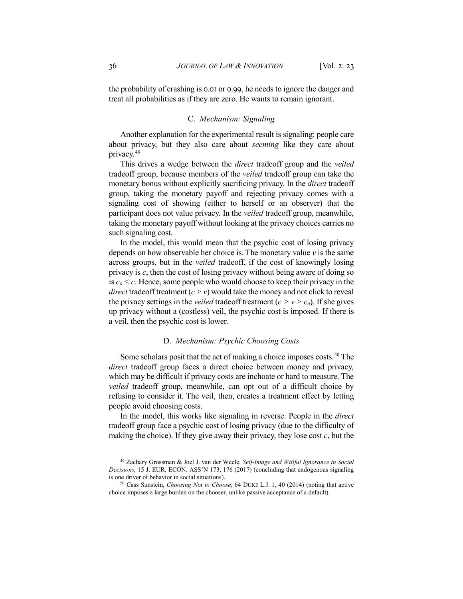the probability of crashing is 0.01 or 0.99, he needs to ignore the danger and treat all probabilities as if they are zero. He wants to remain ignorant.

## C. *Mechanism: Signaling*

Another explanation for the experimental result is signaling: people care about privacy, but they also care about *seeming* like they care about privacy.[49](#page-13-0)

This drives a wedge between the *direct* tradeoff group and the *veiled* tradeoff group, because members of the *veiled* tradeoff group can take the monetary bonus without explicitly sacrificing privacy. In the *direct* tradeoff group, taking the monetary payoff and rejecting privacy comes with a signaling cost of showing (either to herself or an observer) that the participant does not value privacy. In the *veiled* tradeoff group, meanwhile, taking the monetary payoff without looking at the privacy choices carries no such signaling cost.

In the model, this would mean that the psychic cost of losing privacy depends on how observable her choice is. The monetary value *v* is the same across groups, but in the *veiled* tradeoff, if the cost of knowingly losing privacy is *c*, then the cost of losing privacy without being aware of doing so is  $c_0 < c$ . Hence, some people who would choose to keep their privacy in the *direct* tradeoff treatment  $(c > v)$  would take the money and not click to reveal the privacy settings in the *veiled* tradeoff treatment  $(c > v > c_0)$ . If she gives up privacy without a (costless) veil, the psychic cost is imposed. If there is a veil, then the psychic cost is lower.

## D. *Mechanism: Psychic Choosing Costs*

Some scholars posit that the act of making a choice imposes costs.<sup>[50](#page-13-1)</sup> The *direct* tradeoff group faces a direct choice between money and privacy, which may be difficult if privacy costs are inchoate or hard to measure. The *veiled* tradeoff group, meanwhile, can opt out of a difficult choice by refusing to consider it. The veil, then, creates a treatment effect by letting people avoid choosing costs.

In the model, this works like signaling in reverse. People in the *direct* tradeoff group face a psychic cost of losing privacy (due to the difficulty of making the choice). If they give away their privacy, they lose cost *c*, but the

<span id="page-13-0"></span><sup>49</sup> Zachary Grossman & Joel J. van der Weele, *Self-Image and Willful Ignorance in Social Decisions,* 15 J. EUR. ECON. ASS'N 173, 176 (2017) (concluding that endogenous signaling is one driver of behavior in social situations).

<span id="page-13-1"></span><sup>50</sup> Cass Sunstein, *Choosing Not to Choose*, 64 DUKE L.J. 1, 40 (2014) (noting that active choice imposes a large burden on the chooser, unlike passive acceptance of a default).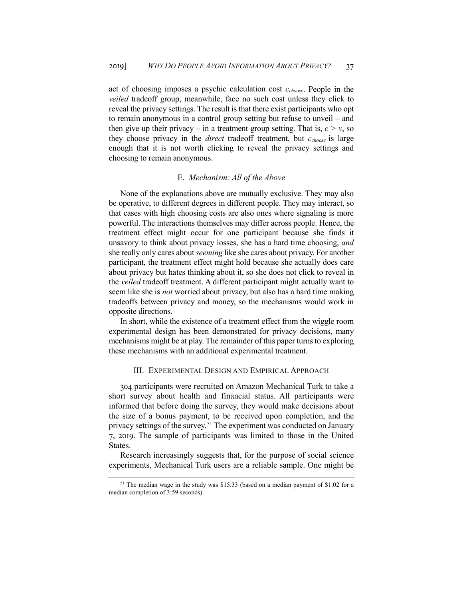act of choosing imposes a psychic calculation cost *cchoose*. People in the *veiled* tradeoff group, meanwhile, face no such cost unless they click to reveal the privacy settings. The result is that there exist participants who opt to remain anonymous in a control group setting but refuse to unveil – and then give up their privacy – in a treatment group setting. That is,  $c > v$ , so they choose privacy in the *direct* tradeoff treatment, but *cchoose* is large enough that it is not worth clicking to reveal the privacy settings and choosing to remain anonymous.

#### E. *Mechanism: All of the Above*

None of the explanations above are mutually exclusive. They may also be operative, to different degrees in different people. They may interact, so that cases with high choosing costs are also ones where signaling is more powerful. The interactions themselves may differ across people. Hence, the treatment effect might occur for one participant because she finds it unsavory to think about privacy losses, she has a hard time choosing, *and*  she really only cares about *seeming* like she cares about privacy. For another participant, the treatment effect might hold because she actually does care about privacy but hates thinking about it, so she does not click to reveal in the *veiled* tradeoff treatment. A different participant might actually want to seem like she is *not* worried about privacy, but also has a hard time making tradeoffs between privacy and money, so the mechanisms would work in opposite directions.

In short, while the existence of a treatment effect from the wiggle room experimental design has been demonstrated for privacy decisions, many mechanisms might be at play. The remainder of this paper turns to exploring these mechanisms with an additional experimental treatment.

# III. EXPERIMENTAL DESIGN AND EMPIRICAL APPROACH

304 participants were recruited on Amazon Mechanical Turk to take a short survey about health and financial status. All participants were informed that before doing the survey, they would make decisions about the size of a bonus payment, to be received upon completion, and the privacy settings of the survey.<sup>[51](#page-14-0)</sup> The experiment was conducted on January 7, 2019. The sample of participants was limited to those in the United States.

Research increasingly suggests that, for the purpose of social science experiments, Mechanical Turk users are a reliable sample. One might be

<span id="page-14-0"></span> $51$  The median wage in the study was \$15.33 (based on a median payment of \$1.02 for a median completion of 3:59 seconds).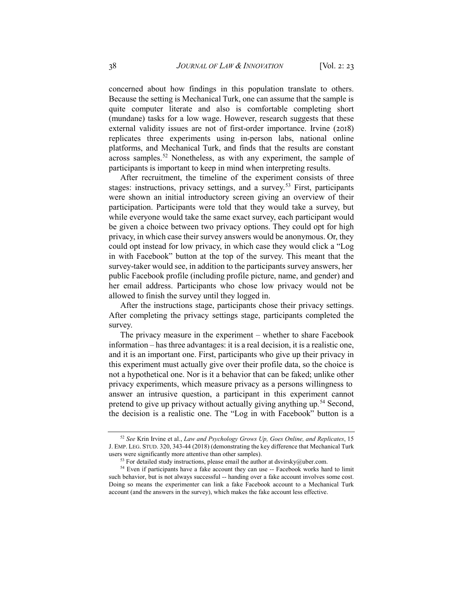concerned about how findings in this population translate to others. Because the setting is Mechanical Turk, one can assume that the sample is quite computer literate and also is comfortable completing short (mundane) tasks for a low wage. However, research suggests that these external validity issues are not of first-order importance. Irvine (2018) replicates three experiments using in-person labs, national online platforms, and Mechanical Turk, and finds that the results are constant across samples.<sup>[52](#page-15-0)</sup> Nonetheless, as with any experiment, the sample of participants is important to keep in mind when interpreting results.

After recruitment, the timeline of the experiment consists of three stages: instructions, privacy settings, and a survey.<sup>[53](#page-15-1)</sup> First, participants were shown an initial introductory screen giving an overview of their participation. Participants were told that they would take a survey, but while everyone would take the same exact survey, each participant would be given a choice between two privacy options. They could opt for high privacy, in which case their survey answers would be anonymous. Or, they could opt instead for low privacy, in which case they would click a "Log in with Facebook" button at the top of the survey. This meant that the survey-taker would see, in addition to the participants survey answers, her public Facebook profile (including profile picture, name, and gender) and her email address. Participants who chose low privacy would not be allowed to finish the survey until they logged in.

After the instructions stage, participants chose their privacy settings. After completing the privacy settings stage, participants completed the survey.

The privacy measure in the experiment – whether to share Facebook information – has three advantages: it is a real decision, it is a realistic one, and it is an important one. First, participants who give up their privacy in this experiment must actually give over their profile data, so the choice is not a hypothetical one. Nor is it a behavior that can be faked; unlike other privacy experiments, which measure privacy as a persons willingness to answer an intrusive question, a participant in this experiment cannot pretend to give up privacy without actually giving anything up.<sup>[54](#page-15-2)</sup> Second, the decision is a realistic one. The "Log in with Facebook" button is a

<span id="page-15-0"></span><sup>52</sup> *See* Krin Irvine et al., *Law and Psychology Grows Up, Goes Online, and Replicates*, 15 J. EMP. LEG. STUD. 320, 343-44 (2018) (demonstrating the key difference that Mechanical Turk users were significantly more attentive than other samples).

 $53$  For detailed study instructions, please email the author at [dsvirsky@uber.com.](mailto:dsvirsky@uber.com)

<span id="page-15-2"></span><span id="page-15-1"></span><sup>&</sup>lt;sup>54</sup> Even if participants have a fake account they can use -- Facebook works hard to limit such behavior, but is not always successful -- handing over a fake account involves some cost. Doing so means the experimenter can link a fake Facebook account to a Mechanical Turk account (and the answers in the survey), which makes the fake account less effective.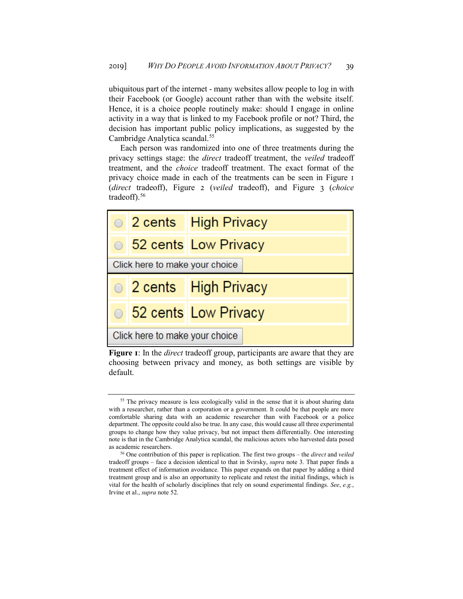ubiquitous part of the internet - many websites allow people to log in with their Facebook (or Google) account rather than with the website itself. Hence, it is a choice people routinely make: should I engage in online activity in a way that is linked to my Facebook profile or not? Third, the decision has important public policy implications, as suggested by the Cambridge Analytica scandal.<sup>[55](#page-16-0)</sup>

Each person was randomized into one of three treatments during the privacy settings stage: the *direct* tradeoff treatment, the *veiled* tradeoff treatment, and the *choice* tradeoff treatment. The exact format of the privacy choice made in each of the treatments can be seen in Figure 1 (*direct* tradeoff), Figure 2 (*veiled* tradeoff), and Figure 3 (*choice* tradeoff).<sup>[56](#page-16-1)</sup>



**Figure 1**: In the *direct* tradeoff group, participants are aware that they are choosing between privacy and money, as both settings are visible by default.

<span id="page-16-0"></span><sup>&</sup>lt;sup>55</sup> The privacy measure is less ecologically valid in the sense that it is about sharing data with a researcher, rather than a corporation or a government. It could be that people are more comfortable sharing data with an academic researcher than with Facebook or a police department. The opposite could also be true. In any case, this would cause all three experimental groups to change how they value privacy, but not impact them differentially. One interesting note is that in the Cambridge Analytica scandal, the malicious actors who harvested data posed as academic researchers.

<span id="page-16-1"></span><sup>56</sup> One contribution of this paper is replication. The first two groups – the *direct* and *veiled*  tradeoff groups – face a decision identical to that in Svirsky, *supra* note [3.](#page-1-3) That paper finds a treatment effect of information avoidance. This paper expands on that paper by adding a third treatment group and is also an opportunity to replicate and retest the initial findings, which is vital for the health of scholarly disciplines that rely on sound experimental findings. *See*, *e.g.*, Irvine et al., *supra* note 52.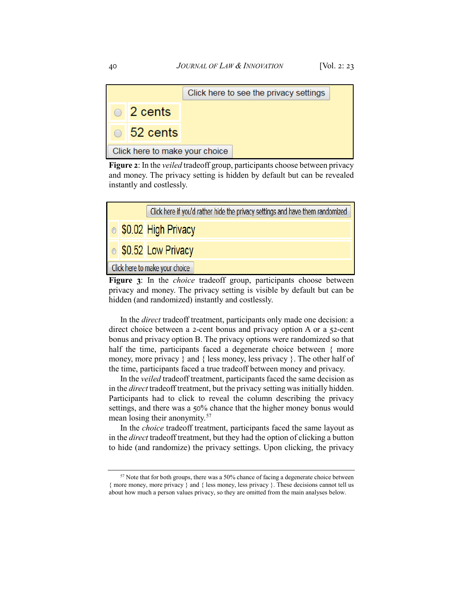|                                |                  | Click here to see the privacy settings |  |  |  |  |
|--------------------------------|------------------|----------------------------------------|--|--|--|--|
|                                | $\circ$ 2 cents  |                                        |  |  |  |  |
|                                | $\circ$ 52 cents |                                        |  |  |  |  |
| Click here to make your choice |                  |                                        |  |  |  |  |

**Figure 2**: In the *veiled* tradeoff group, participants choose between privacy and money. The privacy setting is hidden by default but can be revealed instantly and costlessly.



**Figure 3**: In the *choice* tradeoff group, participants choose between privacy and money. The privacy setting is visible by default but can be hidden (and randomized) instantly and costlessly.

In the *direct* tradeoff treatment, participants only made one decision: a direct choice between a 2-cent bonus and privacy option A or a 52-cent bonus and privacy option B. The privacy options were randomized so that half the time, participants faced a degenerate choice between { more money, more privacy } and { less money, less privacy }. The other half of the time, participants faced a true tradeoff between money and privacy.

In the *veiled* tradeoff treatment, participants faced the same decision as in the *direct* tradeoff treatment, but the privacy setting was initially hidden. Participants had to click to reveal the column describing the privacy settings, and there was a 50% chance that the higher money bonus would mean losing their anonymity.[57](#page-17-0)

In the *choice* tradeoff treatment, participants faced the same layout as in the *direct* tradeoff treatment, but they had the option of clicking a button to hide (and randomize) the privacy settings. Upon clicking, the privacy

<span id="page-17-0"></span> $57$  Note that for both groups, there was a 50% chance of facing a degenerate choice between { more money, more privacy } and { less money, less privacy }. These decisions cannot tell us about how much a person values privacy, so they are omitted from the main analyses below.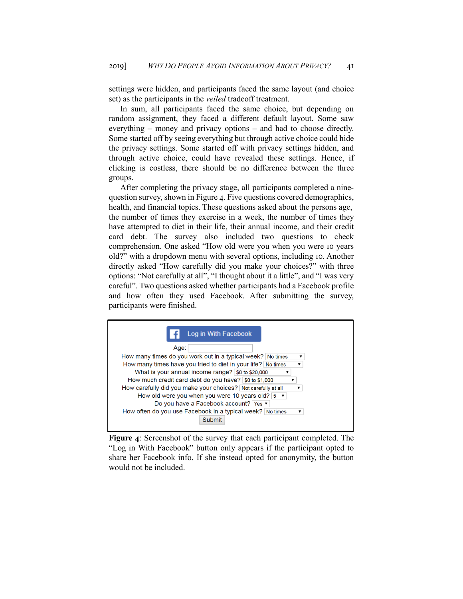settings were hidden, and participants faced the same layout (and choice set) as the participants in the *veiled* tradeoff treatment.

In sum, all participants faced the same choice, but depending on random assignment, they faced a different default layout. Some saw everything – money and privacy options – and had to choose directly. Some started off by seeing everything but through active choice could hide the privacy settings. Some started off with privacy settings hidden, and through active choice, could have revealed these settings. Hence, if clicking is costless, there should be no difference between the three groups.

After completing the privacy stage, all participants completed a ninequestion survey, shown in [Figure 4](#page-18-0). Five questions covered demographics, health, and financial topics. These questions asked about the persons age, the number of times they exercise in a week, the number of times they have attempted to diet in their life, their annual income, and their credit card debt. The survey also included two questions to check comprehension. One asked "How old were you when you were 10 years old?" with a dropdown menu with several options, including 10. Another directly asked "How carefully did you make your choices?" with three options: "Not carefully at all", "I thought about it a little", and "I was very careful". Two questions asked whether participants had a Facebook profile and how often they used Facebook. After submitting the survey, participants were finished.



<span id="page-18-0"></span>**Figure 4**: Screenshot of the survey that each participant completed. The "Log in With Facebook" button only appears if the participant opted to share her Facebook info. If she instead opted for anonymity, the button would not be included.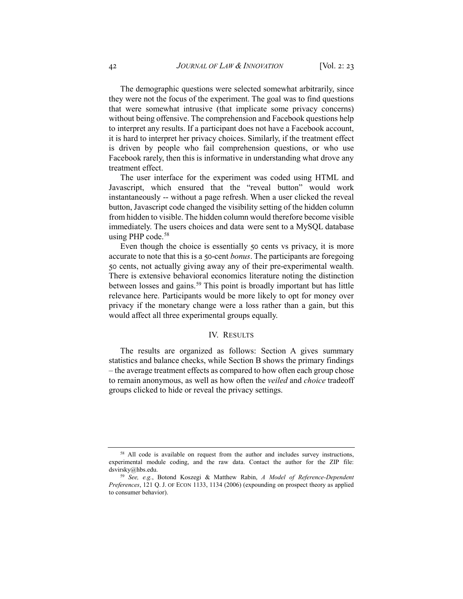The demographic questions were selected somewhat arbitrarily, since they were not the focus of the experiment. The goal was to find questions that were somewhat intrusive (that implicate some privacy concerns) without being offensive. The comprehension and Facebook questions help to interpret any results. If a participant does not have a Facebook account, it is hard to interpret her privacy choices. Similarly, if the treatment effect is driven by people who fail comprehension questions, or who use Facebook rarely, then this is informative in understanding what drove any treatment effect.

The user interface for the experiment was coded using HTML and Javascript, which ensured that the "reveal button" would work instantaneously -- without a page refresh. When a user clicked the reveal button, Javascript code changed the visibility setting of the hidden column from hidden to visible. The hidden column would therefore become visible immediately. The users choices and data were sent to a MySQL database using PHP code.<sup>[58](#page-19-0)</sup>

Even though the choice is essentially 50 cents vs privacy, it is more accurate to note that this is a 50-cent *bonus*. The participants are foregoing 50 cents, not actually giving away any of their pre-experimental wealth. There is extensive behavioral economics literature noting the distinction between losses and gains.<sup>59</sup> This point is broadly important but has little relevance here. Participants would be more likely to opt for money over privacy if the monetary change were a loss rather than a gain, but this would affect all three experimental groups equally.

## IV. RESULTS

The results are organized as follows: Section A gives summary statistics and balance checks, while Section B shows the primary findings – the average treatment effects as compared to how often each group chose to remain anonymous, as well as how often the *veiled* and *choice* tradeoff groups clicked to hide or reveal the privacy settings.

<span id="page-19-0"></span><sup>&</sup>lt;sup>58</sup> All code is available on request from the author and includes survey instructions, experimental module coding, and the raw data. Contact the author for the ZIP file: dsvirsky@hbs.edu.

<span id="page-19-1"></span><sup>59</sup> *See, e.g.*, Botond Koszegi & Matthew Rabin, *A Model of Reference-Dependent Preferences*, 121 Q. J. OF ECON 1133, 1134 (2006) (expounding on prospect theory as applied to consumer behavior).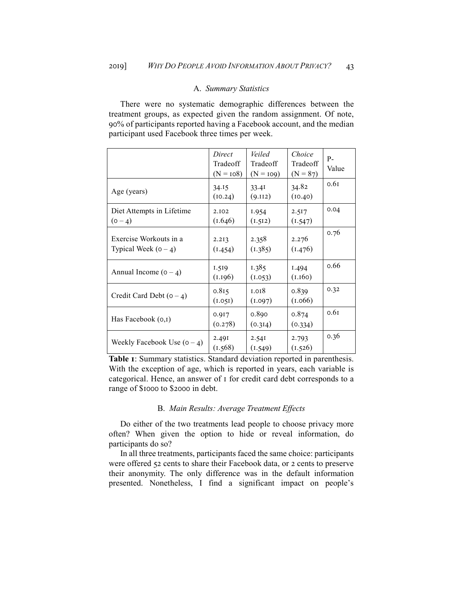### A. *Summary Statistics*

There were no systematic demographic differences between the treatment groups, as expected given the random assignment. Of note, 90% of participants reported having a Facebook account, and the median participant used Facebook three times per week.

|                                                  | Direct<br>Tradeoff<br>$(N = 108)$ | Veiled<br>Tradeoff<br>$(N = 109)$ | Choice<br>Tradeoff<br>$(N = 87)$ | $P -$<br>Value |
|--------------------------------------------------|-----------------------------------|-----------------------------------|----------------------------------|----------------|
| Age (years)                                      | 34.15<br>(10.24)                  | 33.4I<br>(9.112)                  | 34.82<br>(10.40)                 | 0.6I           |
| Diet Attempts in Lifetime<br>$(0 - 4)$           | 2.102<br>(1.646)                  | I.954<br>(1.512)                  | 2.517<br>(1.547)                 | 0.04           |
| Exercise Workouts in a<br>Typical Week $(0 - 4)$ | 2.213<br>(1.454)                  | 2.358<br>(1.385)                  | 2.276<br>(1.476)                 | 0.76           |
| Annual Income $(0 - 4)$                          | 1.519<br>(1.196)                  | 1.385<br>(1.053)                  | I.494<br>(1.160)                 | 0.66           |
| Credit Card Debt $(0 - 4)$                       | 0.815<br>(1.051)                  | 1.018<br>(1.097)                  | 0.839<br>(1.066)                 | 0.32           |
| Has Facebook $(0,I)$                             | 0.917<br>(0.278)                  | 0.890<br>(0.314)                  | 0.874<br>(0.334)                 | 0.61           |
| Weekly Facebook Use $(0 - 4)$                    | 2.49I<br>(1.568)                  | 2.54I<br>(1.549)                  | 2.793<br>(1.526)                 | 0.36           |

<span id="page-20-0"></span>**Table 1**: Summary statistics. Standard deviation reported in parenthesis. With the exception of age, which is reported in years, each variable is categorical. Hence, an answer of 1 for credit card debt corresponds to a range of \$1000 to \$2000 in debt.

## B. *Main Results: Average Treatment Effects*

Do either of the two treatments lead people to choose privacy more often? When given the option to hide or reveal information, do participants do so?

In all three treatments, participants faced the same choice: participants were offered 52 cents to share their Facebook data, or 2 cents to preserve their anonymity. The only difference was in the default information presented. Nonetheless, I find a significant impact on people's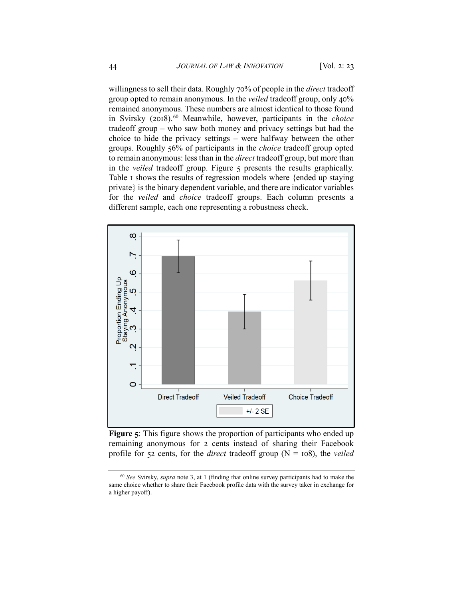willingness to sell their data. Roughly 70% of people in the *direct* tradeoff group opted to remain anonymous. In the *veiled* tradeoff group, only 40% remained anonymous. These numbers are almost identical to those found in Svirsky (2018).[60](#page-21-1) Meanwhile, however, participants in the *choice* tradeoff group – who saw both money and privacy settings but had the choice to hide the privacy settings – were halfway between the other groups. Roughly 56% of participants in the *choice* tradeoff group opted to remain anonymous: less than in the *direct* tradeoff group, but more than in the *veiled* tradeoff group. [Figure 5](#page-21-0) presents the results graphically. [Table 1](#page-20-0) shows the results of regression models where {ended up staying private} is the binary dependent variable, and there are indicator variables for the *veiled* and *choice* tradeoff groups. Each column presents a different sample, each one representing a robustness check.

<span id="page-21-0"></span>

**Figure 5**: This figure shows the proportion of participants who ended up remaining anonymous for 2 cents instead of sharing their Facebook profile for 52 cents, for the *direct* tradeoff group (N = 108), the *veiled*

<span id="page-21-1"></span><sup>60</sup> *See* Svirsky, *supra* note [3,](#page-1-3) at 1 (finding that online survey participants had to make the same choice whether to share their Facebook profile data with the survey taker in exchange for a higher payoff).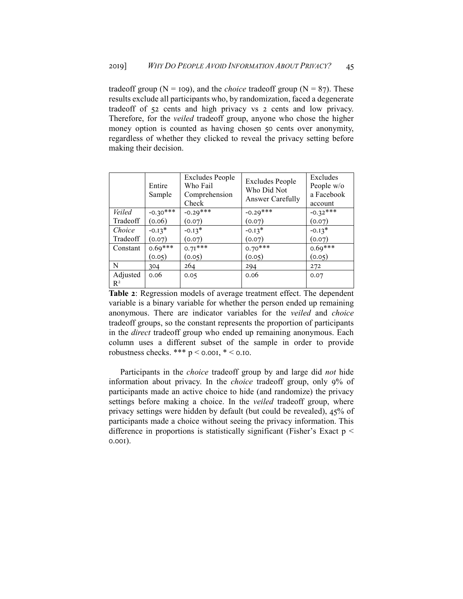tradeoff group ( $N = I09$ ), and the *choice* tradeoff group ( $N = 87$ ). These results exclude all participants who, by randomization, faced a degenerate tradeoff of 52 cents and high privacy vs 2 cents and low privacy. Therefore, for the *veiled* tradeoff group, anyone who chose the higher money option is counted as having chosen 50 cents over anonymity, regardless of whether they clicked to reveal the privacy setting before making their decision.

|                   | Entire<br>Sample | <b>Excludes People</b><br>Who Fail<br>Comprehension<br>Check | Excludes People<br>Who Did Not<br>Answer Carefully | Excludes<br>People w/o<br>a Facebook<br>account |
|-------------------|------------------|--------------------------------------------------------------|----------------------------------------------------|-------------------------------------------------|
| Veiled            | $-0.30***$       | $-0.29***$                                                   | $-0.29***$                                         | $-0.32***$                                      |
| Tradeoff          | (0.06)           | (0.07)                                                       | (0.07)                                             | (0.07)                                          |
| Choice            | $-0.13*$         | $-0.13*$                                                     | $-0.13*$                                           | $-0.13*$                                        |
| Tradeoff          | (0.07)           | (0.07)                                                       | (0.07)                                             | (0.07)                                          |
| Constant          | $0.69***$        | $0.71***$                                                    | $0.70***$                                          | $0.69***$                                       |
|                   | (0.05)           | (0.05)                                                       | (0.05)                                             | (0.05)                                          |
| N                 | 304              | 264                                                          | 294                                                | 272                                             |
| Adjusted<br>$R^2$ | 0.06             | 0.05                                                         | 0.06                                               | 0.07                                            |

**Table 2**: Regression models of average treatment effect. The dependent variable is a binary variable for whether the person ended up remaining anonymous. There are indicator variables for the *veiled* and *choice* tradeoff groups, so the constant represents the proportion of participants in the *direct* tradeoff group who ended up remaining anonymous. Each column uses a different subset of the sample in order to provide robustness checks. \*\*\*  $p < 0.001$ , \* < 0.10.

Participants in the *choice* tradeoff group by and large did *not* hide information about privacy. In the *choice* tradeoff group, only 9% of participants made an active choice to hide (and randomize) the privacy settings before making a choice. In the *veiled* tradeoff group, where privacy settings were hidden by default (but could be revealed), 45% of participants made a choice without seeing the privacy information. This difference in proportions is statistically significant (Fisher's Exact  $p <$ 0.001).